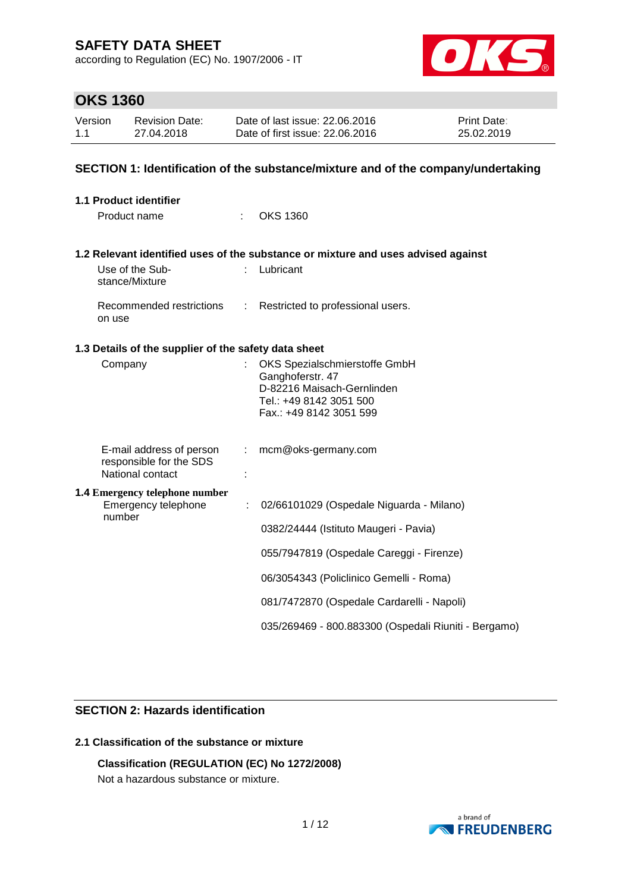according to Regulation (EC) No. 1907/2006 - IT



## **OKS 1360**

| Version | Revision Date: | Date of last issue: 22.06.2016  | <b>Print Date:</b> |
|---------|----------------|---------------------------------|--------------------|
| 1.1     | 27.04.2018     | Date of first issue: 22.06.2016 | 25.02.2019         |

### **SECTION 1: Identification of the substance/mixture and of the company/undertaking**

| <b>1.1 Product identifier</b>                        |               |                                                                                   |
|------------------------------------------------------|---------------|-----------------------------------------------------------------------------------|
| Product name                                         |               | <b>OKS 1360</b>                                                                   |
|                                                      |               | 1.2 Relevant identified uses of the substance or mixture and uses advised against |
| Use of the Sub-<br>stance/Mixture                    |               | Lubricant                                                                         |
| Recommended restrictions<br>on use                   | $\mathcal{L}$ | Restricted to professional users.                                                 |
| 1.3 Details of the supplier of the safety data sheet |               |                                                                                   |
| Company                                              |               | OKS Spezialschmierstoffe GmbH                                                     |
|                                                      |               | Ganghoferstr. 47<br>D-82216 Maisach-Gernlinden                                    |
|                                                      |               | Tel.: +49 8142 3051 500                                                           |
|                                                      |               | Fax.: +49 8142 3051 599                                                           |
| E-mail address of person                             | ÷.            | mcm@oks-germany.com                                                               |
| responsible for the SDS<br>National contact          |               |                                                                                   |
| <b>1.4 Emergency telephone number</b>                |               |                                                                                   |
| Emergency telephone<br>number                        | ÷             | 02/66101029 (Ospedale Niguarda - Milano)                                          |
|                                                      |               | 0382/24444 (Istituto Maugeri - Pavia)                                             |
|                                                      |               | 055/7947819 (Ospedale Careggi - Firenze)                                          |
|                                                      |               | 06/3054343 (Policlinico Gemelli - Roma)                                           |
|                                                      |               | 081/7472870 (Ospedale Cardarelli - Napoli)                                        |
|                                                      |               | 035/269469 - 800.883300 (Ospedali Riuniti - Bergamo)                              |

## **SECTION 2: Hazards identification**

### **2.1 Classification of the substance or mixture**

## **Classification (REGULATION (EC) No 1272/2008)**

Not a hazardous substance or mixture.

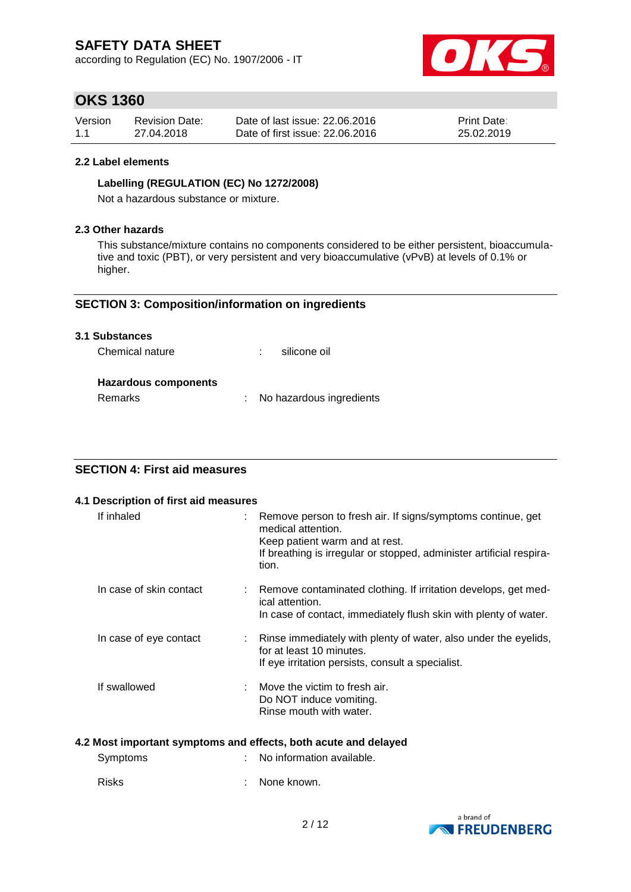according to Regulation (EC) No. 1907/2006 - IT



## **OKS 1360**

| Version | <b>Revision Date:</b> | Date of last issue: 22,06,2016  | <b>Print Date:</b> |
|---------|-----------------------|---------------------------------|--------------------|
| 1.1     | 27.04.2018            | Date of first issue: 22,06,2016 | 25.02.2019         |

#### **2.2 Label elements**

#### **Labelling (REGULATION (EC) No 1272/2008)**

Not a hazardous substance or mixture.

#### **2.3 Other hazards**

This substance/mixture contains no components considered to be either persistent, bioaccumulative and toxic (PBT), or very persistent and very bioaccumulative (vPvB) at levels of 0.1% or higher.

### **SECTION 3: Composition/information on ingredients**

#### **3.1 Substances**

| Chemical nature | silicone oil |
|-----------------|--------------|
|                 |              |

### **Hazardous components**

Remarks : No hazardous ingredients

## **SECTION 4: First aid measures**

#### **4.1 Description of first aid measures**

| If inhaled              | : Remove person to fresh air. If signs/symptoms continue, get<br>medical attention.<br>Keep patient warm and at rest.<br>If breathing is irregular or stopped, administer artificial respira-<br>tion. |
|-------------------------|--------------------------------------------------------------------------------------------------------------------------------------------------------------------------------------------------------|
| In case of skin contact | : Remove contaminated clothing. If irritation develops, get med-<br>ical attention.<br>In case of contact, immediately flush skin with plenty of water.                                                |
| In case of eye contact  | : Rinse immediately with plenty of water, also under the eyelids,<br>for at least 10 minutes.<br>If eye irritation persists, consult a specialist.                                                     |
| If swallowed            | $\therefore$ Move the victim to fresh air.<br>Do NOT induce vomiting.<br>Rinse mouth with water.                                                                                                       |

#### **4.2 Most important symptoms and effects, both acute and delayed**

| Symptoms | : No information available. |
|----------|-----------------------------|
| Risks    | : None known.               |

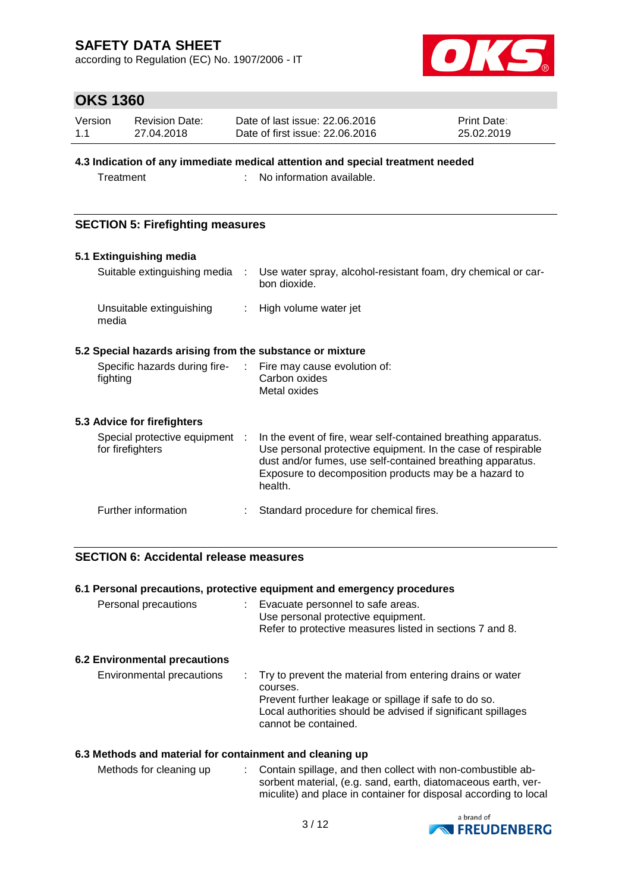according to Regulation (EC) No. 1907/2006 - IT



## **OKS 1360**

| Version | <b>Revision Date:</b> | Date of last issue: 22,06,2016  | <b>Print Date:</b> |
|---------|-----------------------|---------------------------------|--------------------|
| 1.1     | 27.04.2018            | Date of first issue: 22,06,2016 | 25.02.2019         |

#### **4.3 Indication of any immediate medical attention and special treatment needed**

Treatment : No information available.

### **SECTION 5: Firefighting measures**

#### **5.1 Extinguishing media**

| Suitable extinguishing media      | Use water spray, alcohol-resistant foam, dry chemical or car-<br>bon dioxide. |
|-----------------------------------|-------------------------------------------------------------------------------|
| Unsuitable extinguishing<br>media | : High volume water jet                                                       |

### **5.2 Special hazards arising from the substance or mixture**

| Specific hazards during fire- | : Fire may cause evolution of: |
|-------------------------------|--------------------------------|
| fighting                      | Carbon oxides                  |
|                               | Metal oxides                   |
|                               |                                |

### **5.3 Advice for firefighters**

| Special protective equipment :<br>for firefighters | In the event of fire, wear self-contained breathing apparatus.<br>Use personal protective equipment. In the case of respirable<br>dust and/or fumes, use self-contained breathing apparatus.<br>Exposure to decomposition products may be a hazard to<br>health. |
|----------------------------------------------------|------------------------------------------------------------------------------------------------------------------------------------------------------------------------------------------------------------------------------------------------------------------|
| Further information                                | Standard procedure for chemical fires.                                                                                                                                                                                                                           |

### **SECTION 6: Accidental release measures**

#### **6.1 Personal precautions, protective equipment and emergency procedures**

| Personal precautions                 | Evacuate personnel to safe areas.<br>Use personal protective equipment.<br>Refer to protective measures listed in sections 7 and 8. |
|--------------------------------------|-------------------------------------------------------------------------------------------------------------------------------------|
| <b>6.2 Environmental precautions</b> |                                                                                                                                     |
| Environmental precautions            | . Try to prevent the material from entering drains or water                                                                         |

|  | courses.                                                     |  |
|--|--------------------------------------------------------------|--|
|  | Prevent further leakage or spillage if safe to do so.        |  |
|  | Local authorities should be advised if significant spillages |  |
|  | cannot be contained.                                         |  |
|  |                                                              |  |

#### **6.3 Methods and material for containment and cleaning up**

Methods for cleaning up : Contain spillage, and then collect with non-combustible absorbent material, (e.g. sand, earth, diatomaceous earth, vermiculite) and place in container for disposal according to local

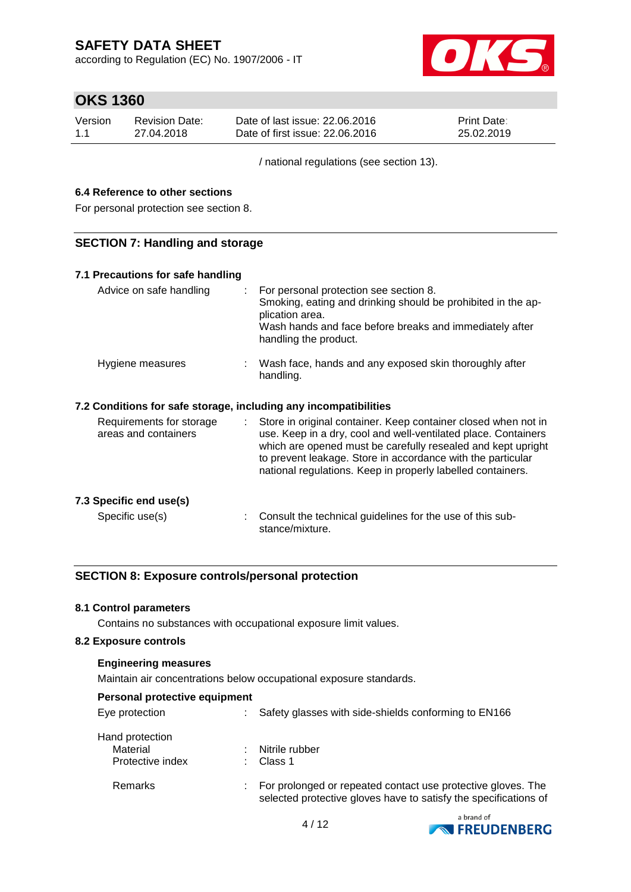according to Regulation (EC) No. 1907/2006 - IT



## **OKS 1360**

| Version | Revision Date: | Date of last issue: 22,06,2016  | <b>Print Date:</b> |
|---------|----------------|---------------------------------|--------------------|
| 1.1     | 27.04.2018     | Date of first issue: 22,06,2016 | 25.02.2019         |

/ national regulations (see section 13).

### **6.4 Reference to other sections**

For personal protection see section 8.

### **SECTION 7: Handling and storage**

| 7.1 Precautions for safe handling                                |                                                                                                                                                                                                                                                                                                                                  |
|------------------------------------------------------------------|----------------------------------------------------------------------------------------------------------------------------------------------------------------------------------------------------------------------------------------------------------------------------------------------------------------------------------|
| Advice on safe handling                                          | For personal protection see section 8.<br>÷.<br>Smoking, eating and drinking should be prohibited in the ap-<br>plication area.<br>Wash hands and face before breaks and immediately after<br>handling the product.                                                                                                              |
| Hygiene measures                                                 | : Wash face, hands and any exposed skin thoroughly after<br>handling.                                                                                                                                                                                                                                                            |
| 7.2 Conditions for safe storage, including any incompatibilities |                                                                                                                                                                                                                                                                                                                                  |
| Requirements for storage<br>areas and containers                 | : Store in original container. Keep container closed when not in<br>use. Keep in a dry, cool and well-ventilated place. Containers<br>which are opened must be carefully resealed and kept upright<br>to prevent leakage. Store in accordance with the particular<br>national regulations. Keep in properly labelled containers. |
| 7.3 Specific end use(s)                                          |                                                                                                                                                                                                                                                                                                                                  |
| Specific use(s)                                                  | Consult the technical guidelines for the use of this sub-<br>stance/mixture.                                                                                                                                                                                                                                                     |

### **SECTION 8: Exposure controls/personal protection**

#### **8.1 Control parameters**

Contains no substances with occupational exposure limit values.

#### **8.2 Exposure controls**

#### **Engineering measures**

Maintain air concentrations below occupational exposure standards.

|  |  | <b>Personal protective equipment</b> |
|--|--|--------------------------------------|
|--|--|--------------------------------------|

| Eye protection                                  | Safety glasses with side-shields conforming to EN166                                                                             |
|-------------------------------------------------|----------------------------------------------------------------------------------------------------------------------------------|
| Hand protection<br>Material<br>Protective index | Nitrile rubber<br>Class 1                                                                                                        |
| Remarks                                         | For prolonged or repeated contact use protective gloves. The<br>selected protective gloves have to satisfy the specifications of |

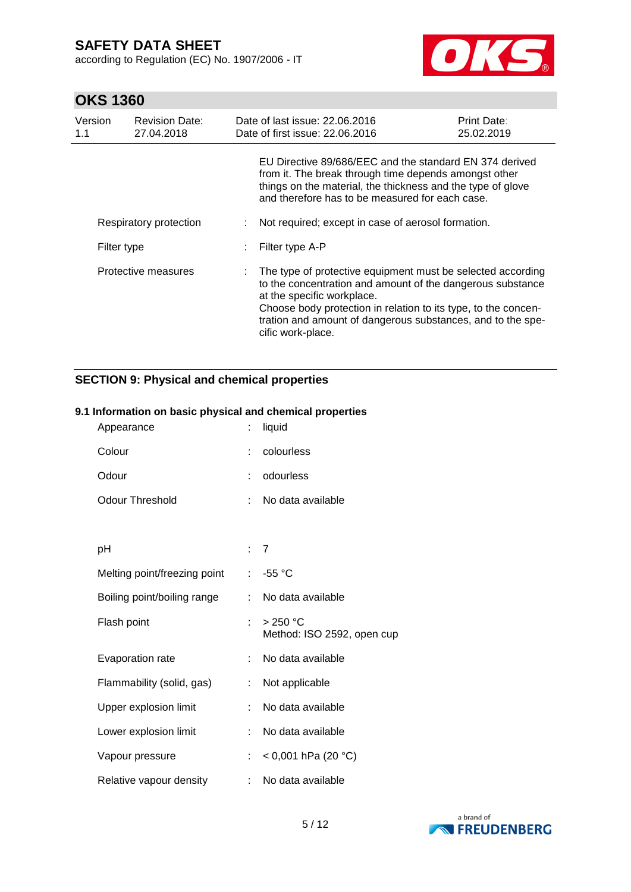according to Regulation (EC) No. 1907/2006 - IT



## **OKS 1360**

| Version<br>1.1         | <b>Revision Date:</b><br>27.04.2018 | Date of last issue: 22.06.2016<br>Date of first issue: 22.06.2016                                                                                                                                                                                                                                             | <b>Print Date:</b><br>25.02.2019 |
|------------------------|-------------------------------------|---------------------------------------------------------------------------------------------------------------------------------------------------------------------------------------------------------------------------------------------------------------------------------------------------------------|----------------------------------|
|                        |                                     | EU Directive 89/686/EEC and the standard EN 374 derived<br>from it. The break through time depends amongst other<br>things on the material, the thickness and the type of glove<br>and therefore has to be measured for each case.                                                                            |                                  |
| Respiratory protection |                                     | Not required; except in case of aerosol formation.                                                                                                                                                                                                                                                            |                                  |
| Filter type            |                                     | Filter type A-P                                                                                                                                                                                                                                                                                               |                                  |
| Protective measures    |                                     | The type of protective equipment must be selected according<br>to the concentration and amount of the dangerous substance<br>at the specific workplace.<br>Choose body protection in relation to its type, to the concen-<br>tration and amount of dangerous substances, and to the spe-<br>cific work-place. |                                  |

## **SECTION 9: Physical and chemical properties**

### **9.1 Information on basic physical and chemical properties**

| Appearance                   | ÷   | liquid                                 |
|------------------------------|-----|----------------------------------------|
| Colour                       |     | colourless                             |
| Odour                        | ÷   | odourless                              |
| <b>Odour Threshold</b>       | ÷   | No data available                      |
|                              |     |                                        |
| рH                           | : 7 |                                        |
| Melting point/freezing point | ÷.  | $-55 °C$                               |
| Boiling point/boiling range  | ÷   | No data available                      |
| Flash point                  | t.  | > 250 °C<br>Method: ISO 2592, open cup |
| Evaporation rate             | t.  | No data available                      |
| Flammability (solid, gas)    | ÷   | Not applicable                         |
| Upper explosion limit        | ÷   | No data available                      |
| Lower explosion limit        | ÷   | No data available                      |
| Vapour pressure              | ÷   | < 0,001 hPa (20 °C)                    |
| Relative vapour density      | ÷.  | No data available                      |

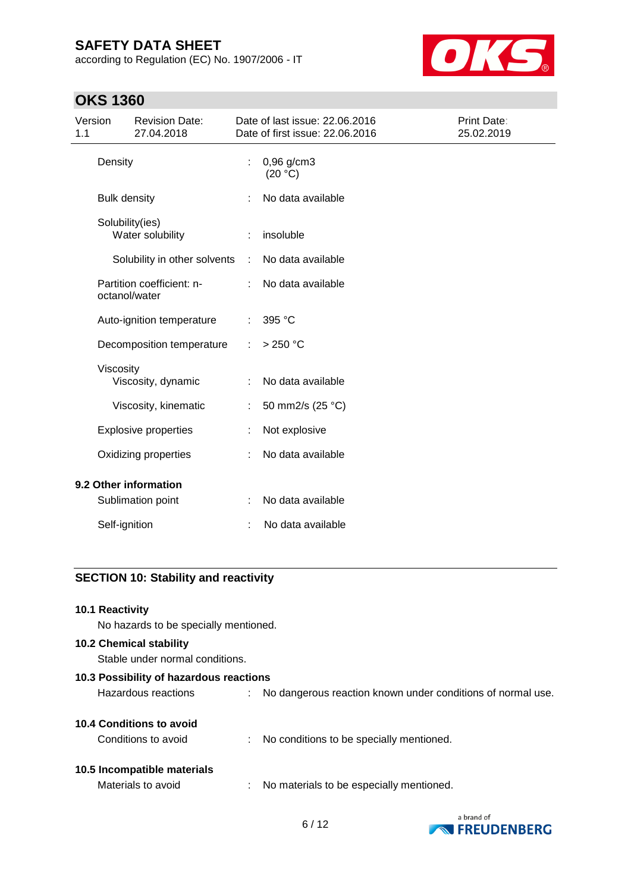according to Regulation (EC) No. 1907/2006 - IT



## **OKS 1360**

| Version<br>1.1        |                           | <b>Revision Date:</b><br>27.04.2018        |                         | Date of last issue: 22.06.2016<br>Date of first issue: 22.06.2016 | <b>Print Date:</b><br>25.02.2019 |
|-----------------------|---------------------------|--------------------------------------------|-------------------------|-------------------------------------------------------------------|----------------------------------|
| Density               |                           | ÷                                          | $0,96$ g/cm3<br>(20 °C) |                                                                   |                                  |
|                       | <b>Bulk density</b>       |                                            |                         | No data available                                                 |                                  |
|                       | Solubility(ies)           | Water solubility                           |                         | insoluble                                                         |                                  |
|                       |                           | Solubility in other solvents               | ÷                       | No data available                                                 |                                  |
|                       |                           | Partition coefficient: n-<br>octanol/water |                         | No data available                                                 |                                  |
|                       | Auto-ignition temperature |                                            | ÷                       | 395 °C                                                            |                                  |
|                       |                           | Decomposition temperature                  | ÷                       | $>250$ °C                                                         |                                  |
|                       | Viscosity                 | Viscosity, dynamic                         |                         | No data available                                                 |                                  |
|                       |                           | Viscosity, kinematic                       |                         | 50 mm2/s (25 °C)                                                  |                                  |
|                       |                           | <b>Explosive properties</b>                |                         | Not explosive                                                     |                                  |
|                       | Oxidizing properties      |                                            |                         | No data available                                                 |                                  |
| 9.2 Other information |                           |                                            |                         |                                                                   |                                  |
|                       |                           | Sublimation point                          |                         | No data available                                                 |                                  |
|                       | Self-ignition             |                                            |                         | No data available                                                 |                                  |
|                       |                           |                                            |                         |                                                                   |                                  |

### **SECTION 10: Stability and reactivity**

# **10.1 Reactivity** No hazards to be specially mentioned. **10.2 Chemical stability** Stable under normal conditions. **10.3 Possibility of hazardous reactions** Hazardous reactions : No dangerous reaction known under conditions of normal use. **10.4 Conditions to avoid**

Conditions to avoid : No conditions to be specially mentioned.

### **10.5 Incompatible materials**

Materials to avoid : No materials to be especially mentioned.

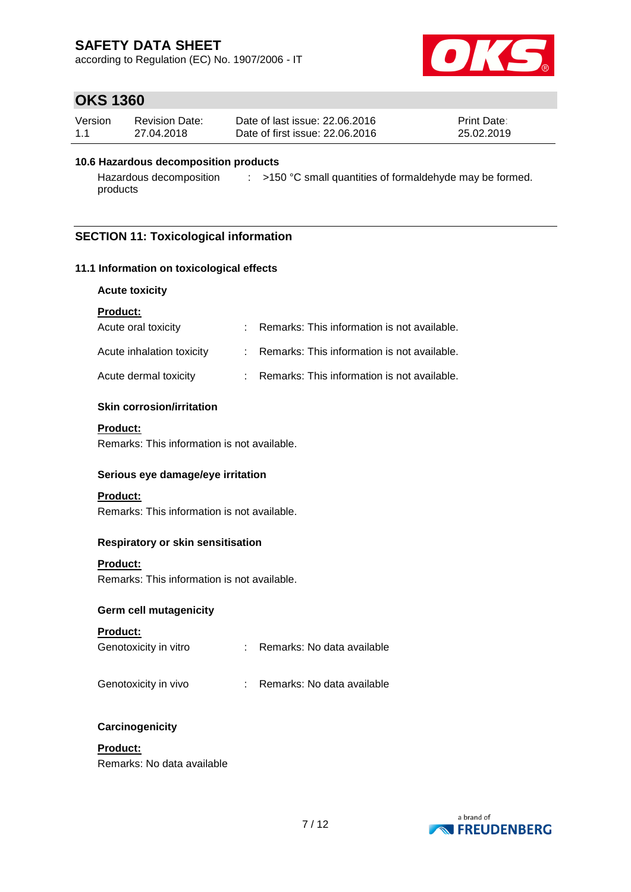according to Regulation (EC) No. 1907/2006 - IT



## **OKS 1360**

| Version | Revision Date: | Date of last issue: 22,06,2016  | <b>Print Date:</b> |
|---------|----------------|---------------------------------|--------------------|
| 1.1     | 27.04.2018     | Date of first issue: 22,06,2016 | 25.02.2019         |

#### **10.6 Hazardous decomposition products**

Hazardous decomposition  $\qquad : \qquad$  >150 °C small quantities of formaldehyde may be formed. products

### **SECTION 11: Toxicological information**

#### **11.1 Information on toxicological effects**

#### **Acute toxicity**

**Product:**

| Acute oral toxicity       | : Remarks: This information is not available. |
|---------------------------|-----------------------------------------------|
| Acute inhalation toxicity | : Remarks: This information is not available. |
| Acute dermal toxicity     | : Remarks: This information is not available. |

#### **Skin corrosion/irritation**

#### **Product:**

Remarks: This information is not available.

#### **Serious eye damage/eye irritation**

#### **Product:**

Remarks: This information is not available.

#### **Respiratory or skin sensitisation**

#### **Product:**

Remarks: This information is not available.

#### **Germ cell mutagenicity**

#### **Product:**

| Genotoxicity in vitro |  | Remarks: No data available |  |
|-----------------------|--|----------------------------|--|
|-----------------------|--|----------------------------|--|

#### Genotoxicity in vivo : Remarks: No data available

#### **Carcinogenicity**

### **Product:**

Remarks: No data available

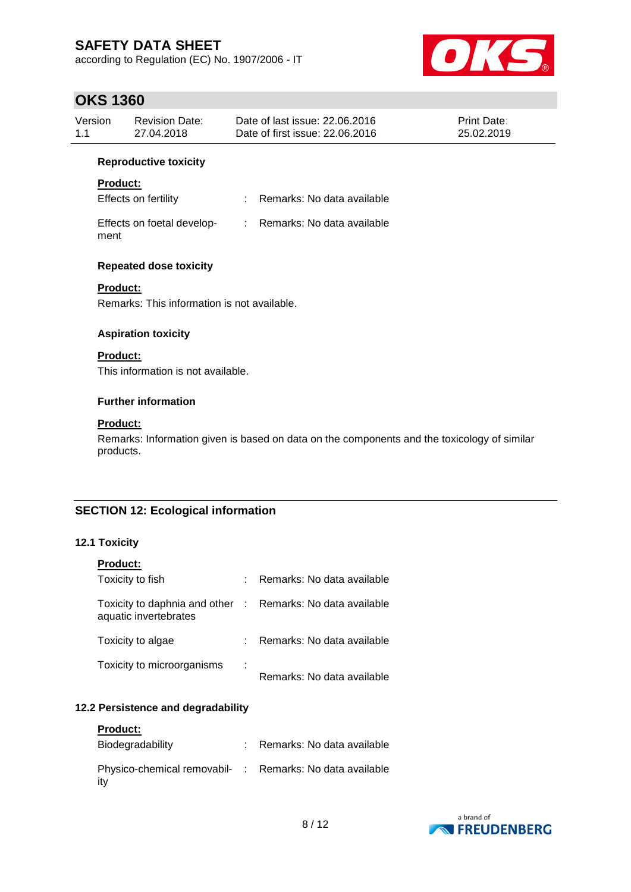according to Regulation (EC) No. 1907/2006 - IT



# **OKS 1360**

| UNJ 1300                                                          |                                             |                                                                                             |                                  |
|-------------------------------------------------------------------|---------------------------------------------|---------------------------------------------------------------------------------------------|----------------------------------|
| Version<br>1.1                                                    | <b>Revision Date:</b><br>27.04.2018         | Date of last issue: 22.06.2016<br>Date of first issue: 22.06.2016                           | <b>Print Date:</b><br>25.02.2019 |
|                                                                   | <b>Reproductive toxicity</b>                |                                                                                             |                                  |
| <b>Product:</b>                                                   |                                             |                                                                                             |                                  |
|                                                                   | Effects on fertility                        | : Remarks: No data available                                                                |                                  |
| ment                                                              | Effects on foetal develop-                  | : Remarks: No data available                                                                |                                  |
|                                                                   | <b>Repeated dose toxicity</b>               |                                                                                             |                                  |
| <b>Product:</b>                                                   | Remarks: This information is not available. |                                                                                             |                                  |
|                                                                   | <b>Aspiration toxicity</b>                  |                                                                                             |                                  |
| <b>Product:</b>                                                   |                                             |                                                                                             |                                  |
|                                                                   | This information is not available.          |                                                                                             |                                  |
|                                                                   | <b>Further information</b>                  |                                                                                             |                                  |
| <b>Product:</b>                                                   |                                             |                                                                                             |                                  |
| products.                                                         |                                             | Remarks: Information given is based on data on the components and the toxicology of similar |                                  |
|                                                                   |                                             |                                                                                             |                                  |
| $\mathbf{A} \cap \mathbf{A}$ $\mathbf{T} \sim \mathbf{A}$ is in a | <b>SECTION 12: Ecological information</b>   |                                                                                             |                                  |

### **12.1 Toxicity**

| <b>Product:</b>                                                                     |   |                            |
|-------------------------------------------------------------------------------------|---|----------------------------|
| Toxicity to fish                                                                    | t | Remarks: No data available |
| Toxicity to daphnia and other : Remarks: No data available<br>aquatic invertebrates |   |                            |
| Toxicity to algae                                                                   |   | Remarks: No data available |
| Toxicity to microorganisms                                                          | ÷ | Remarks: No data available |

### **12.2 Persistence and degradability**

| <b>Product:</b>                                                 |                              |
|-----------------------------------------------------------------|------------------------------|
| Biodegradability                                                | : Remarks: No data available |
| Physico-chemical removabil- : Remarks: No data available<br>itv |                              |

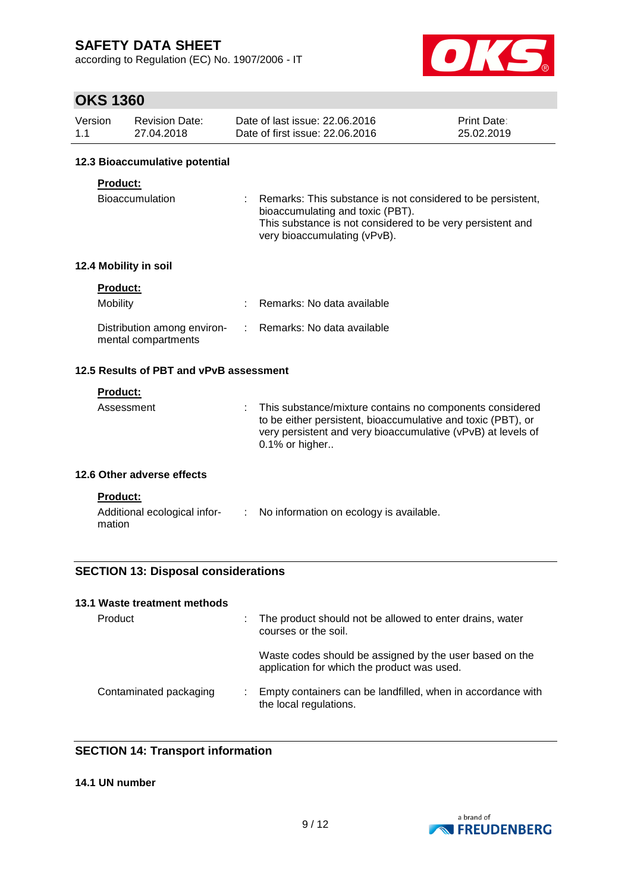according to Regulation (EC) No. 1907/2006 - IT



## **OKS 1360**

| Version | Revision Date: | Date of last issue: 22,06,2016  | <b>Print Date:</b> |
|---------|----------------|---------------------------------|--------------------|
| 1.1     | 27.04.2018     | Date of first issue: 22,06,2016 | 25.02.2019         |

#### **12.3 Bioaccumulative potential**

#### **Product:**

| Bioaccumulation | : Remarks: This substance is not considered to be persistent, |  |
|-----------------|---------------------------------------------------------------|--|
|                 | bioaccumulating and toxic (PBT).                              |  |
|                 | This substance is not considered to be very persistent and    |  |
|                 | very bioaccumulating (vPvB).                                  |  |

#### **12.4 Mobility in soil**

| <b>Product:</b>                                    |                              |
|----------------------------------------------------|------------------------------|
| Mobility                                           | : Remarks: No data available |
| Distribution among environ-<br>mental compartments | : Remarks: No data available |

### **12.5 Results of PBT and vPvB assessment**

#### **Product:**

mation

| Assessment<br>$0.1\%$ or higher | : This substance/mixture contains no components considered<br>to be either persistent, bioaccumulative and toxic (PBT), or<br>very persistent and very bioaccumulative (vPvB) at levels of |
|---------------------------------|--------------------------------------------------------------------------------------------------------------------------------------------------------------------------------------------|
|---------------------------------|--------------------------------------------------------------------------------------------------------------------------------------------------------------------------------------------|

#### **12.6 Other adverse effects**

| <b>Product:</b>              |           |
|------------------------------|-----------|
| Additional ecological infor- | No inforr |

| for- | No information on ecology is available. |  |
|------|-----------------------------------------|--|
|      |                                         |  |

# **SECTION 13: Disposal considerations**

#### **13.1 Waste treatment methods**

| Product                | The product should not be allowed to enter drains, water<br>courses or the soil.                       |
|------------------------|--------------------------------------------------------------------------------------------------------|
|                        | Waste codes should be assigned by the user based on the<br>application for which the product was used. |
| Contaminated packaging | Empty containers can be landfilled, when in accordance with<br>the local regulations.                  |

### **SECTION 14: Transport information**

### **14.1 UN number**

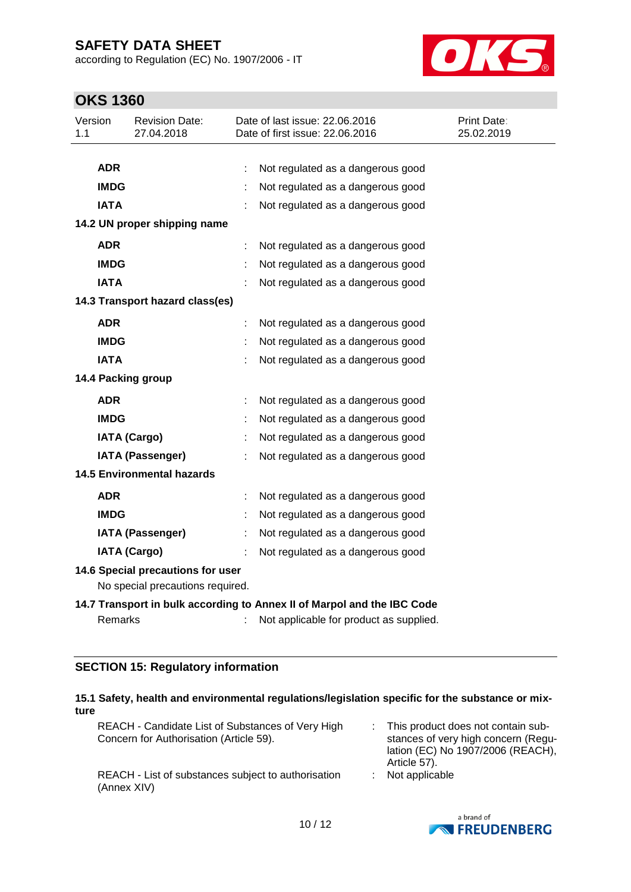according to Regulation (EC) No. 1907/2006 - IT



## **OKS 1360**

| Version<br>1.1 |                                   | <b>Revision Date:</b><br>27.04.2018 |  | Date of last issue: 22.06.2016<br>Date of first issue: 22.06.2016       | Print Date:<br>25.02.2019 |  |
|----------------|-----------------------------------|-------------------------------------|--|-------------------------------------------------------------------------|---------------------------|--|
|                |                                   |                                     |  |                                                                         |                           |  |
|                | <b>ADR</b>                        |                                     |  | Not regulated as a dangerous good                                       |                           |  |
|                | <b>IMDG</b>                       |                                     |  | Not regulated as a dangerous good                                       |                           |  |
|                | <b>IATA</b>                       |                                     |  | Not regulated as a dangerous good                                       |                           |  |
|                |                                   | 14.2 UN proper shipping name        |  |                                                                         |                           |  |
|                | <b>ADR</b>                        |                                     |  | Not regulated as a dangerous good                                       |                           |  |
|                | <b>IMDG</b>                       |                                     |  | Not regulated as a dangerous good                                       |                           |  |
|                | <b>IATA</b>                       |                                     |  | Not regulated as a dangerous good                                       |                           |  |
|                |                                   | 14.3 Transport hazard class(es)     |  |                                                                         |                           |  |
|                | <b>ADR</b>                        |                                     |  | Not regulated as a dangerous good                                       |                           |  |
|                | <b>IMDG</b>                       |                                     |  | Not regulated as a dangerous good                                       |                           |  |
|                | <b>IATA</b>                       |                                     |  | Not regulated as a dangerous good                                       |                           |  |
|                |                                   | 14.4 Packing group                  |  |                                                                         |                           |  |
|                | <b>ADR</b>                        |                                     |  | Not regulated as a dangerous good                                       |                           |  |
|                | <b>IMDG</b>                       |                                     |  | Not regulated as a dangerous good                                       |                           |  |
|                |                                   | <b>IATA (Cargo)</b>                 |  | Not regulated as a dangerous good                                       |                           |  |
|                |                                   | <b>IATA (Passenger)</b>             |  | Not regulated as a dangerous good                                       |                           |  |
|                |                                   | <b>14.5 Environmental hazards</b>   |  |                                                                         |                           |  |
|                | <b>ADR</b>                        |                                     |  | Not regulated as a dangerous good                                       |                           |  |
|                | <b>IMDG</b>                       |                                     |  | Not regulated as a dangerous good                                       |                           |  |
|                |                                   | <b>IATA (Passenger)</b>             |  | Not regulated as a dangerous good                                       |                           |  |
|                |                                   | <b>IATA (Cargo)</b>                 |  | Not regulated as a dangerous good                                       |                           |  |
|                | 14.6 Special precautions for user |                                     |  |                                                                         |                           |  |
|                |                                   | No special precautions required.    |  |                                                                         |                           |  |
|                |                                   |                                     |  | 14.7 Transport in bulk according to Annex II of Marpol and the IBC Code |                           |  |
|                | Remarks                           |                                     |  | Not applicable for product as supplied.                                 |                           |  |

### **SECTION 15: Regulatory information**

| ture | 15.1 Safety, health and environmental regulations/legislation specific for the substance or mix- |                                                                                                                                |
|------|--------------------------------------------------------------------------------------------------|--------------------------------------------------------------------------------------------------------------------------------|
|      | REACH - Candidate List of Substances of Very High<br>Concern for Authorisation (Article 59).     | This product does not contain sub-<br>stances of very high concern (Regu-<br>lation (EC) No 1907/2006 (REACH),<br>Article 57). |
|      | REACH - List of substances subject to authorisation<br>(Annex XIV)                               | Not applicable                                                                                                                 |

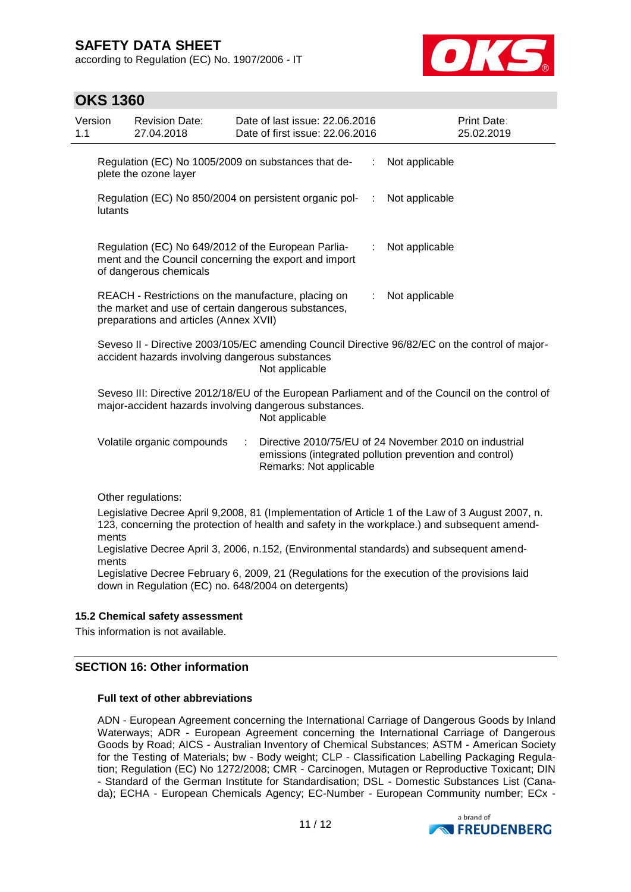according to Regulation (EC) No. 1907/2006 - IT



## **OKS 1360**

| Version<br>1.1 |         | <b>Revision Date:</b><br>27.04.2018    | Date of last issue: 22.06.2016<br>Date of first issue: 22.06.2016                                                                                                                        | Print Date:<br>25.02.2019 |
|----------------|---------|----------------------------------------|------------------------------------------------------------------------------------------------------------------------------------------------------------------------------------------|---------------------------|
|                |         | plete the ozone layer                  | Regulation (EC) No 1005/2009 on substances that de-<br>Not applicable                                                                                                                    |                           |
|                | lutants |                                        | Regulation (EC) No 850/2004 on persistent organic pol-<br>Not applicable<br>÷                                                                                                            |                           |
|                |         | of dangerous chemicals                 | Regulation (EC) No 649/2012 of the European Parlia-<br>Not applicable<br>ment and the Council concerning the export and import                                                           |                           |
|                |         | preparations and articles (Annex XVII) | REACH - Restrictions on the manufacture, placing on<br>Not applicable<br>÷.<br>the market and use of certain dangerous substances,                                                       |                           |
|                |         |                                        | Seveso II - Directive 2003/105/EC amending Council Directive 96/82/EC on the control of major-<br>accident hazards involving dangerous substances<br>Not applicable                      |                           |
|                |         |                                        | Seveso III: Directive 2012/18/EU of the European Parliament and of the Council on the control of<br>major-accident hazards involving dangerous substances.<br>Not applicable             |                           |
|                |         | Volatile organic compounds             | Directive 2010/75/EU of 24 November 2010 on industrial<br>÷<br>emissions (integrated pollution prevention and control)<br>Remarks: Not applicable                                        |                           |
|                |         | Other regulations:                     | Legislative Decree April 9,2008, 81 (Implementation of Article 1 of the Law of 3 August 2007, n.                                                                                         |                           |
|                | ments   |                                        | 123, concerning the protection of health and safety in the workplace.) and subsequent amend-<br>Legislative Decree April 3, 2006, n 152. (Environmental standards) and subsequent amend- |                           |

Legislative Decree April 3, 2006, n.152, (Environmental standards) and subsequent amendments

Legislative Decree February 6, 2009, 21 (Regulations for the execution of the provisions laid down in Regulation (EC) no. 648/2004 on detergents)

#### **15.2 Chemical safety assessment**

This information is not available.

### **SECTION 16: Other information**

#### **Full text of other abbreviations**

ADN - European Agreement concerning the International Carriage of Dangerous Goods by Inland Waterways; ADR - European Agreement concerning the International Carriage of Dangerous Goods by Road; AICS - Australian Inventory of Chemical Substances; ASTM - American Society for the Testing of Materials; bw - Body weight; CLP - Classification Labelling Packaging Regulation; Regulation (EC) No 1272/2008; CMR - Carcinogen, Mutagen or Reproductive Toxicant; DIN - Standard of the German Institute for Standardisation; DSL - Domestic Substances List (Canada); ECHA - European Chemicals Agency; EC-Number - European Community number; ECx -